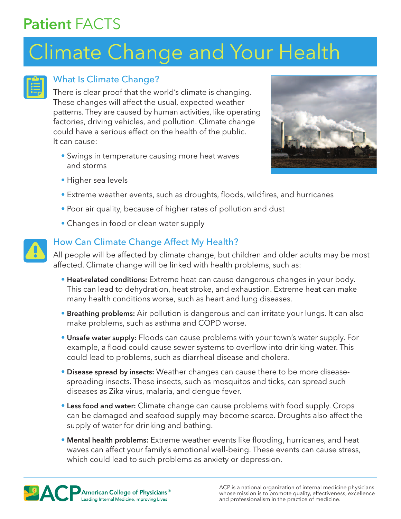# Patient FACTS

# Climate Change and Your Health



### What Is Climate Change?

There is clear proof that the world's climate is changing. These changes will affect the usual, expected weather patterns. They are caused by human activities, like operating factories, driving vehicles, and pollution. Climate change could have a serious effect on the health of the public. It can cause:

• Swings in temperature causing more heat waves and storms



- Higher sea levels
- Extreme weather events, such as droughts, floods, wildfires, and hurricanes
- Poor air quality, because of higher rates of pollution and dust
- Changes in food or clean water supply



## How Can Climate Change Affect My Health?

All people will be affected by climate change, but children and older adults may be most affected. Climate change will be linked with health problems, such as:

- Heat-related conditions: Extreme heat can cause dangerous changes in your body. This can lead to dehydration, heat stroke, and exhaustion. Extreme heat can make many health conditions worse, such as heart and lung diseases.
- Breathing problems: Air pollution is dangerous and can irritate your lungs. It can also make problems, such as asthma and COPD worse.
- Unsafe water supply: Floods can cause problems with your town's water supply. For example, a flood could cause sewer systems to overflow into drinking water. This could lead to problems, such as diarrheal disease and cholera.
- Disease spread by insects: Weather changes can cause there to be more diseasespreading insects. These insects, such as mosquitos and ticks, can spread such diseases as Zika virus, malaria, and dengue fever.
- Less food and water: Climate change can cause problems with food supply. Crops can be damaged and seafood supply may become scarce. Droughts also affect the supply of water for drinking and bathing.
- Mental health problems: Extreme weather events like flooding, hurricanes, and heat waves can affect your family's emotional well-being. These events can cause stress, which could lead to such problems as anxiety or depression.